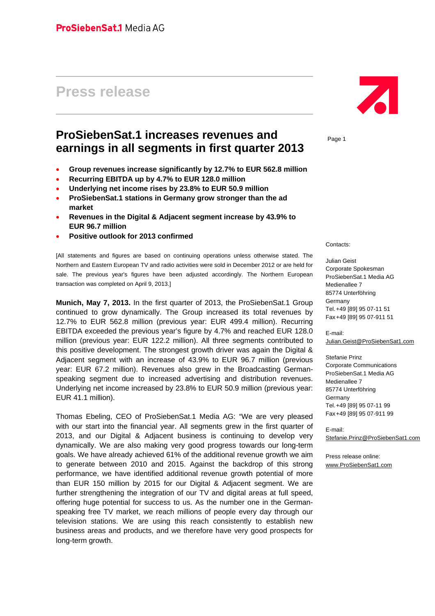# **Press release**

# **ProSiebenSat.1 increases revenues and earnings in all segments in first quarter 2013**

- **Group revenues increase significantly by 12.7% to EUR 562.8 million**
- **Recurring EBITDA up by 4.7% to EUR 128.0 million**
- **Underlying net income rises by 23.8% to EUR 50.9 million**
- **ProSiebenSat.1 stations in Germany grow stronger than the ad market**
- **Revenues in the Digital & Adjacent segment increase by 43.9% to EUR 96.7 million**
- **Positive outlook for 2013 confirmed**

[All statements and figures are based on continuing operations unless otherwise stated. The Northern and Eastern European TV and radio activities were sold in December 2012 or are held for sale. The previous year's figures have been adjusted accordingly. The Northern European transaction was completed on April 9, 2013.]

**Munich, May 7, 2013.** In the first quarter of 2013, the ProSiebenSat.1 Group continued to grow dynamically. The Group increased its total revenues by 12.7% to EUR 562.8 million (previous year: EUR 499.4 million). Recurring EBITDA exceeded the previous year's figure by 4.7% and reached EUR 128.0 million (previous year: EUR 122.2 million). All three segments contributed to this positive development. The strongest growth driver was again the Digital & Adjacent segment with an increase of 43.9% to EUR 96.7 million (previous year: EUR 67.2 million). Revenues also grew in the Broadcasting Germanspeaking segment due to increased advertising and distribution revenues. Underlying net income increased by 23.8% to EUR 50.9 million (previous year: EUR 41.1 million).

Thomas Ebeling, CEO of ProSiebenSat.1 Media AG: "We are very pleased with our start into the financial year. All segments grew in the first quarter of 2013, and our Digital & Adjacent business is continuing to develop very dynamically. We are also making very good progress towards our long-term goals. We have already achieved 61% of the additional revenue growth we aim to generate between 2010 and 2015. Against the backdrop of this strong performance, we have identified additional revenue growth potential of more than EUR 150 million by 2015 for our Digital & Adjacent segment. We are further strengthening the integration of our TV and digital areas at full speed, offering huge potential for success to us. As the number one in the Germanspeaking free TV market, we reach millions of people every day through our television stations. We are using this reach consistently to establish new business areas and products, and we therefore have very good prospects for long-term growth.



Page 1

Contacts:

Julian Geist Corporate Spokesman ProSiebenSat.1 Media AG Medienallee 7 85774 Unterföhring Germany Tel. +49 [89] 95 07-11 51 Fax +49 [89] 95 07-911 51

E-mail: Julian.Geist@ProSiebenSat1.com

Stefanie Prinz Corporate Communications ProSiebenSat.1 Media AG Medienallee 7 85774 Unterföhring Germany Tel. +49 [89] 95 07-11 99 Fax +49 [89] 95 07-911 99

E-mail: Stefanie.Prinz@ProSiebenSat1.com

Press release online: www.ProSiebenSat1.com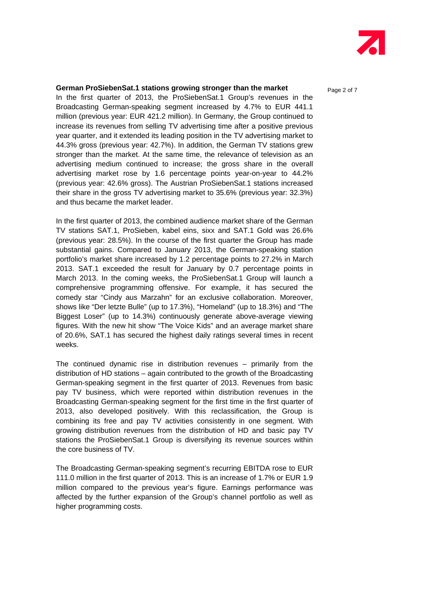

# **German ProSiebenSat.1 stations growing stronger than the market** Page 2 of 7

In the first quarter of 2013, the ProSiebenSat.1 Group's revenues in the Broadcasting German-speaking segment increased by 4.7% to EUR 441.1 million (previous year: EUR 421.2 million). In Germany, the Group continued to increase its revenues from selling TV advertising time after a positive previous year quarter, and it extended its leading position in the TV advertising market to 44.3% gross (previous year: 42.7%). In addition, the German TV stations grew stronger than the market. At the same time, the relevance of television as an advertising medium continued to increase; the gross share in the overall advertising market rose by 1.6 percentage points year-on-year to 44.2% (previous year: 42.6% gross). The Austrian ProSiebenSat.1 stations increased their share in the gross TV advertising market to 35.6% (previous year: 32.3%) and thus became the market leader.

In the first quarter of 2013, the combined audience market share of the German TV stations SAT.1, ProSieben, kabel eins, sixx and SAT.1 Gold was 26.6% (previous year: 28.5%). In the course of the first quarter the Group has made substantial gains. Compared to January 2013, the German-speaking station portfolio's market share increased by 1.2 percentage points to 27.2% in March 2013. SAT.1 exceeded the result for January by 0.7 percentage points in March 2013. In the coming weeks, the ProSiebenSat.1 Group will launch a comprehensive programming offensive. For example, it has secured the comedy star "Cindy aus Marzahn" for an exclusive collaboration. Moreover, shows like "Der letzte Bulle" (up to 17.3%), "Homeland" (up to 18.3%) and "The Biggest Loser" (up to 14.3%) continuously generate above-average viewing figures. With the new hit show "The Voice Kids" and an average market share of 20.6%, SAT.1 has secured the highest daily ratings several times in recent weeks.

The continued dynamic rise in distribution revenues – primarily from the distribution of HD stations – again contributed to the growth of the Broadcasting German-speaking segment in the first quarter of 2013. Revenues from basic pay TV business, which were reported within distribution revenues in the Broadcasting German-speaking segment for the first time in the first quarter of 2013, also developed positively. With this reclassification, the Group is combining its free and pay TV activities consistently in one segment. With growing distribution revenues from the distribution of HD and basic pay TV stations the ProSiebenSat.1 Group is diversifying its revenue sources within the core business of TV.

The Broadcasting German-speaking segment's recurring EBITDA rose to EUR 111.0 million in the first quarter of 2013. This is an increase of 1.7% or EUR 1.9 million compared to the previous year's figure. Earnings performance was affected by the further expansion of the Group's channel portfolio as well as higher programming costs.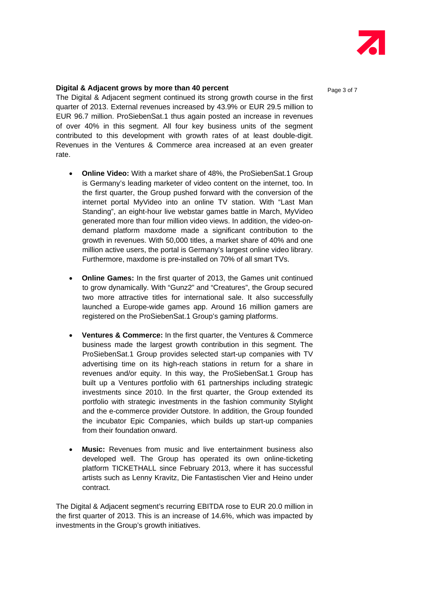

## **Digital & Adjacent grows by more than 40 percent**  Page 3 of 7

The Digital & Adjacent segment continued its strong growth course in the first quarter of 2013. External revenues increased by 43.9% or EUR 29.5 million to EUR 96.7 million. ProSiebenSat.1 thus again posted an increase in revenues of over 40% in this segment. All four key business units of the segment contributed to this development with growth rates of at least double-digit. Revenues in the Ventures & Commerce area increased at an even greater rate.

- **Online Video:** With a market share of 48%, the ProSiebenSat.1 Group is Germany's leading marketer of video content on the internet, too. In the first quarter, the Group pushed forward with the conversion of the internet portal MyVideo into an online TV station. With "Last Man Standing", an eight-hour live webstar games battle in March, MyVideo generated more than four million video views. In addition, the video-ondemand platform maxdome made a significant contribution to the growth in revenues. With 50,000 titles, a market share of 40% and one million active users, the portal is Germany's largest online video library. Furthermore, maxdome is pre-installed on 70% of all smart TVs.
- **Online Games:** In the first quarter of 2013, the Games unit continued to grow dynamically. With "Gunz2" and "Creatures", the Group secured two more attractive titles for international sale. It also successfully launched a Europe-wide games app. Around 16 million gamers are registered on the ProSiebenSat.1 Group's gaming platforms.
- **Ventures & Commerce:** In the first quarter, the Ventures & Commerce business made the largest growth contribution in this segment. The ProSiebenSat.1 Group provides selected start-up companies with TV advertising time on its high-reach stations in return for a share in revenues and/or equity. In this way, the ProSiebenSat.1 Group has built up a Ventures portfolio with 61 partnerships including strategic investments since 2010. In the first quarter, the Group extended its portfolio with strategic investments in the fashion community Stylight and the e-commerce provider Outstore. In addition, the Group founded the incubator Epic Companies, which builds up start-up companies from their foundation onward.
- **Music:** Revenues from music and live entertainment business also developed well. The Group has operated its own online-ticketing platform TICKETHALL since February 2013, where it has successful artists such as Lenny Kravitz, Die Fantastischen Vier and Heino under contract.

The Digital & Adjacent segment's recurring EBITDA rose to EUR 20.0 million in the first quarter of 2013. This is an increase of 14.6%, which was impacted by investments in the Group's growth initiatives.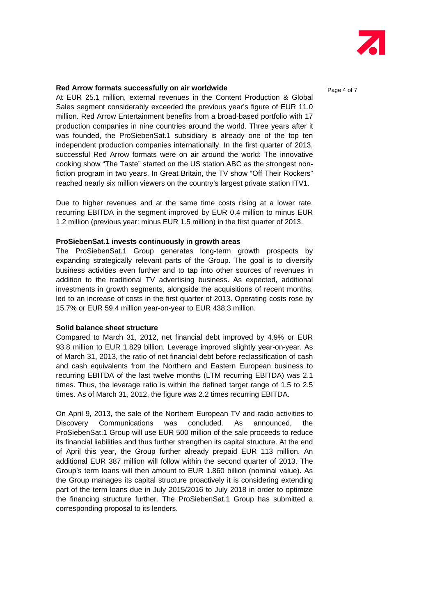

## **Red Arrow formats successfully on air worldwide Page 4 of 7** and  $P_{\text{A}}$

At EUR 25.1 million, external revenues in the Content Production & Global Sales segment considerably exceeded the previous year's figure of EUR 11.0 million. Red Arrow Entertainment benefits from a broad-based portfolio with 17 production companies in nine countries around the world. Three years after it was founded, the ProSiebenSat.1 subsidiary is already one of the top ten independent production companies internationally. In the first quarter of 2013, successful Red Arrow formats were on air around the world: The innovative cooking show "The Taste" started on the US station ABC as the strongest nonfiction program in two years. In Great Britain, the TV show "Off Their Rockers" reached nearly six million viewers on the country's largest private station ITV1.

Due to higher revenues and at the same time costs rising at a lower rate, recurring EBITDA in the segment improved by EUR 0.4 million to minus EUR 1.2 million (previous year: minus EUR 1.5 million) in the first quarter of 2013.

#### **ProSiebenSat.1 invests continuously in growth areas**

The ProSiebenSat.1 Group generates long-term growth prospects by expanding strategically relevant parts of the Group. The goal is to diversify business activities even further and to tap into other sources of revenues in addition to the traditional TV advertising business. As expected, additional investments in growth segments, alongside the acquisitions of recent months, led to an increase of costs in the first quarter of 2013. Operating costs rose by 15.7% or EUR 59.4 million year-on-year to EUR 438.3 million.

#### **Solid balance sheet structure**

Compared to March 31, 2012, net financial debt improved by 4.9% or EUR 93.8 million to EUR 1.829 billion. Leverage improved slightly year-on-year. As of March 31, 2013, the ratio of net financial debt before reclassification of cash and cash equivalents from the Northern and Eastern European business to recurring EBITDA of the last twelve months (LTM recurring EBITDA) was 2.1 times. Thus, the leverage ratio is within the defined target range of 1.5 to 2.5 times. As of March 31, 2012, the figure was 2.2 times recurring EBITDA.

On April 9, 2013, the sale of the Northern European TV and radio activities to Discovery Communications was concluded. As announced, the ProSiebenSat.1 Group will use EUR 500 million of the sale proceeds to reduce its financial liabilities and thus further strengthen its capital structure. At the end of April this year, the Group further already prepaid EUR 113 million. An additional EUR 387 million will follow within the second quarter of 2013. The Group's term loans will then amount to EUR 1.860 billion (nominal value). As the Group manages its capital structure proactively it is considering extending part of the term loans due in July 2015/2016 to July 2018 in order to optimize the financing structure further. The ProSiebenSat.1 Group has submitted a corresponding proposal to its lenders.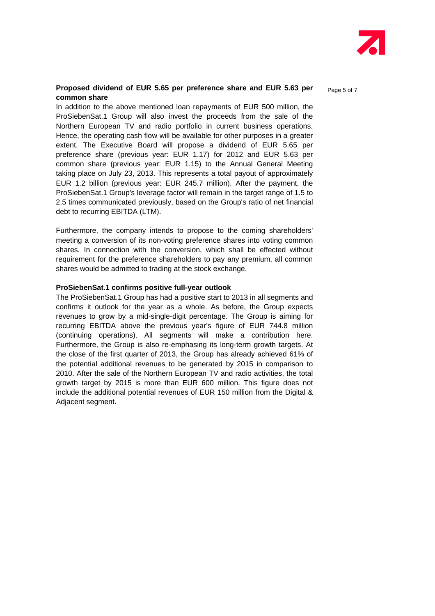

### **Proposed dividend of EUR 5.65 per preference share and EUR 5.63 per** Page 5 of 7 **common share**

In addition to the above mentioned loan repayments of EUR 500 million, the ProSiebenSat.1 Group will also invest the proceeds from the sale of the Northern European TV and radio portfolio in current business operations. Hence, the operating cash flow will be available for other purposes in a greater extent. The Executive Board will propose a dividend of EUR 5.65 per preference share (previous year: EUR 1.17) for 2012 and EUR 5.63 per common share (previous year: EUR 1.15) to the Annual General Meeting taking place on July 23, 2013. This represents a total payout of approximately EUR 1.2 billion (previous year: EUR 245.7 million). After the payment, the ProSiebenSat.1 Group's leverage factor will remain in the target range of 1.5 to 2.5 times communicated previously, based on the Group's ratio of net financial debt to recurring EBITDA (LTM).

Furthermore, the company intends to propose to the coming shareholders' meeting a conversion of its non-voting preference shares into voting common shares. In connection with the conversion, which shall be effected without requirement for the preference shareholders to pay any premium, all common shares would be admitted to trading at the stock exchange.

### **ProSiebenSat.1 confirms positive full-year outlook**

The ProSiebenSat.1 Group has had a positive start to 2013 in all segments and confirms it outlook for the year as a whole. As before, the Group expects revenues to grow by a mid-single-digit percentage. The Group is aiming for recurring EBITDA above the previous year's figure of EUR 744.8 million (continuing operations). All segments will make a contribution here. Furthermore, the Group is also re-emphasing its long-term growth targets. At the close of the first quarter of 2013, the Group has already achieved 61% of the potential additional revenues to be generated by 2015 in comparison to 2010. After the sale of the Northern European TV and radio activities, the total growth target by 2015 is more than EUR 600 million. This figure does not include the additional potential revenues of EUR 150 million from the Digital & Adjacent segment.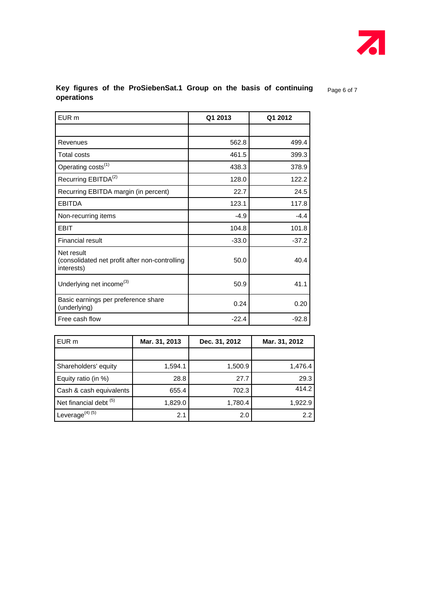

# Key figures of the ProSiebenSat.1 Group on the basis of continuing **Page 6 of 7 operations**

| EUR <sub>m</sub>                                                           | Q1 2013 | Q1 2012 |
|----------------------------------------------------------------------------|---------|---------|
|                                                                            |         |         |
| Revenues                                                                   | 562.8   | 499.4   |
| <b>Total costs</b>                                                         | 461.5   | 399.3   |
| Operating costs <sup>(1)</sup>                                             | 438.3   | 378.9   |
| Recurring EBITDA <sup>(2)</sup>                                            | 128.0   | 122.2   |
| Recurring EBITDA margin (in percent)                                       | 22.7    | 24.5    |
| <b>EBITDA</b>                                                              | 123.1   | 117.8   |
| Non-recurring items                                                        | $-4.9$  | $-4.4$  |
| EBIT                                                                       | 104.8   | 101.8   |
| <b>Financial result</b>                                                    | $-33.0$ | $-37.2$ |
| Net result<br>(consolidated net profit after non-controlling<br>interests) | 50.0    | 40.4    |
| Underlying net income <sup>(3)</sup>                                       | 50.9    | 41.1    |
| Basic earnings per preference share<br>(underlying)                        | 0.24    | 0.20    |
| Free cash flow                                                             | $-22.4$ | $-92.8$ |

| EUR m                             | Mar. 31, 2013 | Dec. 31, 2012 | Mar. 31, 2012 |
|-----------------------------------|---------------|---------------|---------------|
|                                   |               |               |               |
| Shareholders' equity              | 1,594.1       | 1,500.9       | 1,476.4       |
| Equity ratio (in %)               | 28.8          | 27.7          | 29.3          |
| Cash & cash equivalents           | 655.4         | 702.3         | 414.2         |
| Net financial debt <sup>(5)</sup> | 1,829.0       | 1,780.4       | 1,922.9       |
| Leverage $^{(4)(5)}$              | 2.1           | 2.0           | 2.2           |